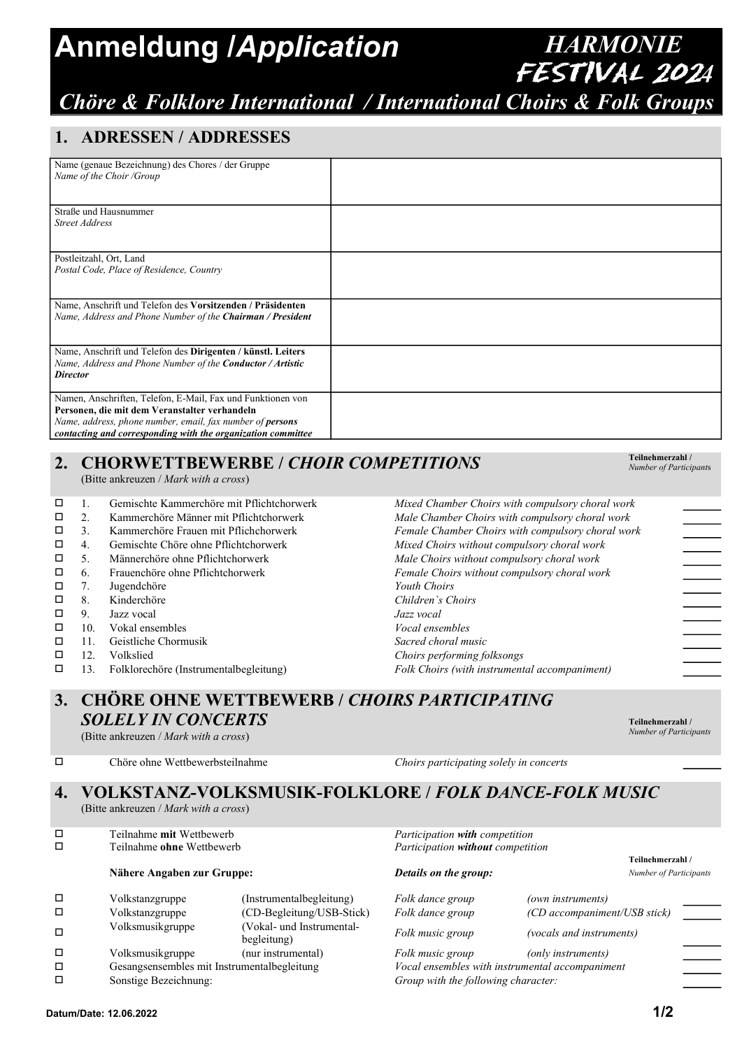## Anmeldung /Application HARMONIE

## FESTIVAL 2024 Chöre & Folklore International / International Choirs & Folk Groups

#### 1. ADRESSEN / ADDRESSES

| Name (genaue Bezeichnung) des Chores / der Gruppe<br>Name of the Choir /Group |  |
|-------------------------------------------------------------------------------|--|
| Straße und Hausnummer                                                         |  |
| <b>Street Address</b>                                                         |  |
| Postleitzahl, Ort, Land                                                       |  |
| Postal Code, Place of Residence, Country                                      |  |
| Name, Anschrift und Telefon des Vorsitzenden / Präsidenten                    |  |
| Name, Address and Phone Number of the Chairman / President                    |  |
| Name, Anschrift und Telefon des Dirigenten / künstl. Leiters                  |  |
| Name, Address and Phone Number of the Conductor / Artistic                    |  |
| <b>Director</b>                                                               |  |
| Namen, Anschriften, Telefon, E-Mail, Fax und Funktionen von                   |  |
| Personen, die mit dem Veranstalter verhandeln                                 |  |
| Name, address, phone number, email, fax number of <b>persons</b>              |  |
| contacting and corresponding with the organization committee                  |  |

#### 2. CHORWETTBEWERBE / CHOIR COMPETITIONS

(Bitte ankreuzen / Mark with a cross)

- 1. Gemischte Kammerchöre mit Pflichtchorwerk Mixed Chamber Choirs with compulsory choral work
- $\Box$  2. Kammerchöre Männer mit Pflichtchorwerk Male Chamber Choirs with compulsory choral work
- □ 3. Kammerchöre Frauen mit Pflichchorwerk Female Chamber Choirs with compulsory choral work
- 4. Gemischte Chöre ohne Pflichtchorwerk Mixed Choirs without compulsory choral work
- $\Box$  5. Männerchöre ohne Pflichtchorwerk Male Choirs without compulsory choral work  $\Box$  6 Frauenchöre ohne Pflichtchorwerk Female Choirs without compulsory choral work
- $\Box$  6. Frauenchöre ohne Pflichtchorwerk Female Choirs without compulsory choral work<br> $\Box$  7 Iuvendchöre
- 7. Jugendchöre **Youth Choirs**
- 8. Kinderchöre Children`s Choirs
- 9. Jazz vocal Jazz vocal
- □ 10. Vokal ensembles Vocal ensembles<br>□ 11 Geistliche Chormusik Sacred charal m
- $\Box$  11. Geistliche Chormusik Sacred choral music<br> $\Box$  12. Volkslied Choirs performing for
- 
- $\Box$  12. Volkslied Choirs performing folksongs<br>  $\Box$  13. Folklorechöre (Instrumentalbegleitung) Choirs (with instrument 13. Folklorechöre (Instrumentalbegleitung) Folk Choirs (with instrumental accompaniment)

### 3. CHÖRE OHNE WETTBEWERB / CHOIRS PARTICIPATING SOLELY IN CONCERTS

(Bitte ankreuzen / Mark with a cross)

 $\square$  Chöre ohne Wettbewerbsteilnahme Choirs participating solely in concerts

#### 4. VOLKSTANZ-VOLKSMUSIK-FOLKLORE / FOLK DANCE-FOLK MUSIC (Bitte ankreuzen / Mark with a cross)

 Teilnahme mit Wettbewerb Participation with competition Teilnahme ohne Wettbewerb Participation without competition

#### Nähere Angaben zur Gruppe: **State Angaben zur Gruppe:** Details on the group: Number of Participants

#### $\square$  Volkstanzgruppe (Instrumentalbegleitung) Folk dance group (own instruments) Volkstanzgruppe (CD-Begleitung/USB-Stick) Folk dance group (CD accompaniment/USB stick)  $\Box$ Volksmusikgruppe (Vokal- und Instrumental-(vokal- und instrumental-<br>begleitung) Folk music group (vocals and instruments)  $\square$  Volksmusikgruppe (nur instrumental)  $Folk music group$  (only instruments) Gesangsensembles mit Instrumentalbegleitung Vocal ensembles with instrumental accompaniment □ Sonstige Bezeichnung: Group with the following character:

Teilnehmerzahl / Number of Participants

Teilnehmerzahl / Number of Participants

Teilnehmerzahl /